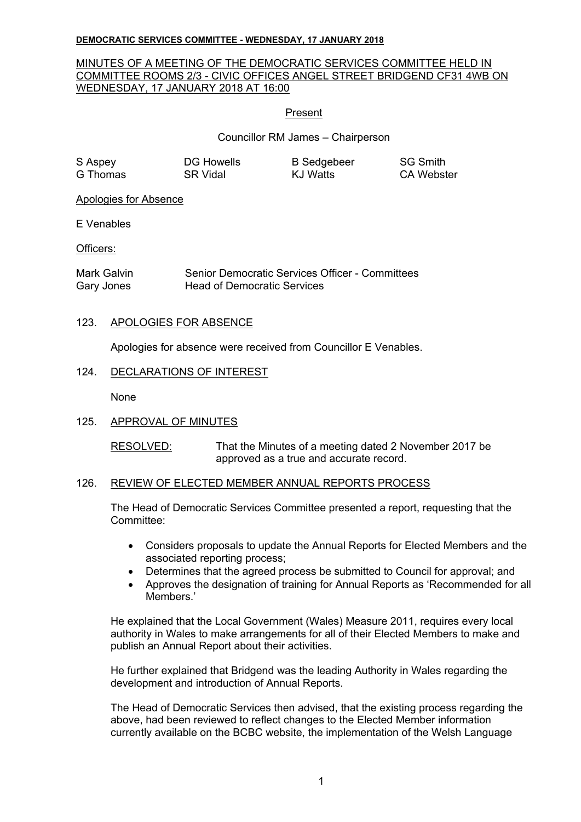# MINUTES OF A MEETING OF THE DEMOCRATIC SERVICES COMMITTEE HELD IN COMMITTEE ROOMS 2/3 - CIVIC OFFICES ANGEL STREET BRIDGEND CF31 4WB ON WEDNESDAY, 17 JANUARY 2018 AT 16:00

## Present

Councillor RM James – Chairperson

| S Aspey  | <b>DG Howells</b> | <b>B</b> Sedgebeer | <b>SG Smith</b> |
|----------|-------------------|--------------------|-----------------|
| G Thomas | SR Vidal          | KJ Watts           | CA Webster      |

Apologies for Absence

E Venables

Officers:

Mark Galvin Senior Democratic Services Officer - Committees Gary Jones Head of Democratic Services

## 123. APOLOGIES FOR ABSENCE

Apologies for absence were received from Councillor E Venables.

## 124. DECLARATIONS OF INTEREST

None

# 125. APPROVAL OF MINUTES

RESOLVED: That the Minutes of a meeting dated 2 November 2017 be approved as a true and accurate record.

# 126. REVIEW OF ELECTED MEMBER ANNUAL REPORTS PROCESS

The Head of Democratic Services Committee presented a report, requesting that the Committee:

- Considers proposals to update the Annual Reports for Elected Members and the associated reporting process;
- Determines that the agreed process be submitted to Council for approval; and
- Approves the designation of training for Annual Reports as 'Recommended for all Members<sup>'</sup>

He explained that the Local Government (Wales) Measure 2011, requires every local authority in Wales to make arrangements for all of their Elected Members to make and publish an Annual Report about their activities.

He further explained that Bridgend was the leading Authority in Wales regarding the development and introduction of Annual Reports.

The Head of Democratic Services then advised, that the existing process regarding the above, had been reviewed to reflect changes to the Elected Member information currently available on the BCBC website, the implementation of the Welsh Language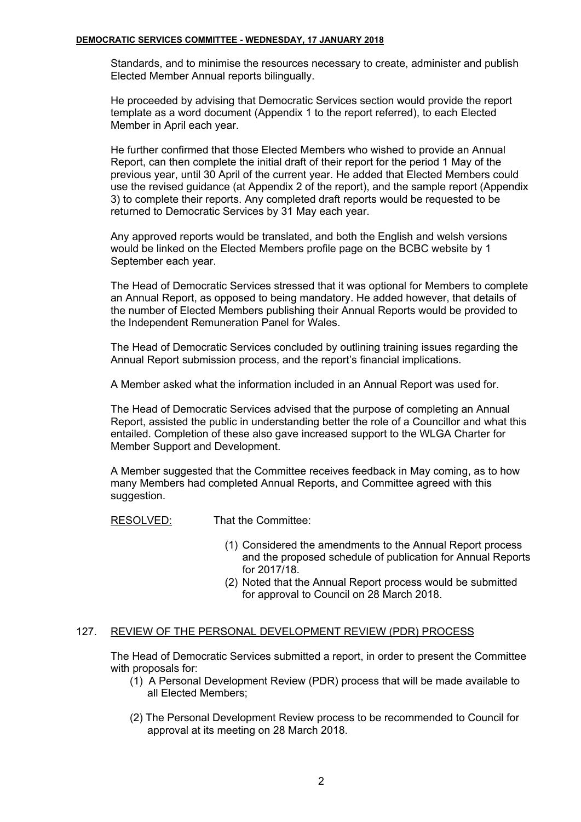Standards, and to minimise the resources necessary to create, administer and publish Elected Member Annual reports bilingually.

He proceeded by advising that Democratic Services section would provide the report template as a word document (Appendix 1 to the report referred), to each Elected Member in April each year.

He further confirmed that those Elected Members who wished to provide an Annual Report, can then complete the initial draft of their report for the period 1 May of the previous year, until 30 April of the current year. He added that Elected Members could use the revised guidance (at Appendix 2 of the report), and the sample report (Appendix 3) to complete their reports. Any completed draft reports would be requested to be returned to Democratic Services by 31 May each year.

Any approved reports would be translated, and both the English and welsh versions would be linked on the Elected Members profile page on the BCBC website by 1 September each year.

The Head of Democratic Services stressed that it was optional for Members to complete an Annual Report, as opposed to being mandatory. He added however, that details of the number of Elected Members publishing their Annual Reports would be provided to the Independent Remuneration Panel for Wales.

The Head of Democratic Services concluded by outlining training issues regarding the Annual Report submission process, and the report's financial implications.

A Member asked what the information included in an Annual Report was used for.

The Head of Democratic Services advised that the purpose of completing an Annual Report, assisted the public in understanding better the role of a Councillor and what this entailed. Completion of these also gave increased support to the WLGA Charter for Member Support and Development.

A Member suggested that the Committee receives feedback in May coming, as to how many Members had completed Annual Reports, and Committee agreed with this suggestion.

RESOLVED: That the Committee:

- (1) Considered the amendments to the Annual Report process and the proposed schedule of publication for Annual Reports for 2017/18.
- (2) Noted that the Annual Report process would be submitted for approval to Council on 28 March 2018.

### 127. REVIEW OF THE PERSONAL DEVELOPMENT REVIEW (PDR) PROCESS

The Head of Democratic Services submitted a report, in order to present the Committee with proposals for:

- (1) A Personal Development Review (PDR) process that will be made available to all Elected Members;
- (2) The Personal Development Review process to be recommended to Council for approval at its meeting on 28 March 2018.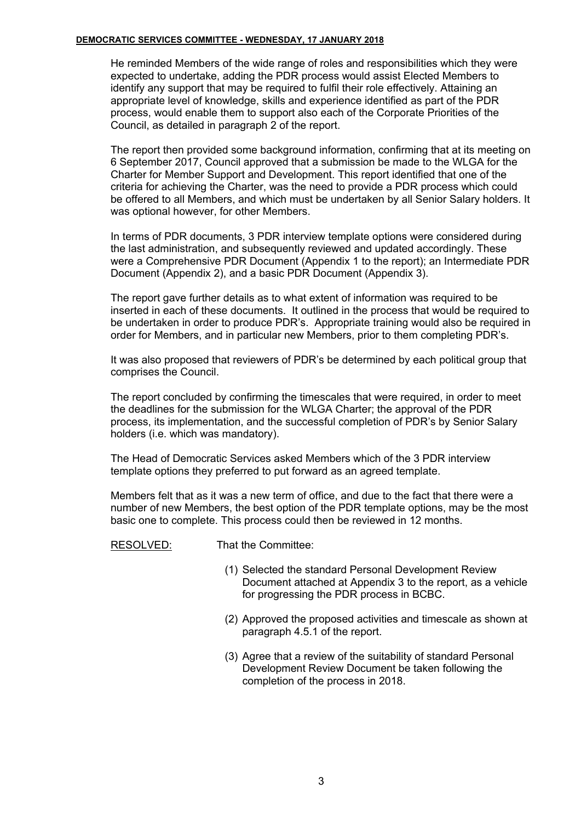He reminded Members of the wide range of roles and responsibilities which they were expected to undertake, adding the PDR process would assist Elected Members to identify any support that may be required to fulfil their role effectively. Attaining an appropriate level of knowledge, skills and experience identified as part of the PDR process, would enable them to support also each of the Corporate Priorities of the Council, as detailed in paragraph 2 of the report.

The report then provided some background information, confirming that at its meeting on 6 September 2017, Council approved that a submission be made to the WLGA for the Charter for Member Support and Development. This report identified that one of the criteria for achieving the Charter, was the need to provide a PDR process which could be offered to all Members, and which must be undertaken by all Senior Salary holders. It was optional however, for other Members.

In terms of PDR documents, 3 PDR interview template options were considered during the last administration, and subsequently reviewed and updated accordingly. These were a Comprehensive PDR Document (Appendix 1 to the report); an Intermediate PDR Document (Appendix 2), and a basic PDR Document (Appendix 3).

The report gave further details as to what extent of information was required to be inserted in each of these documents. It outlined in the process that would be required to be undertaken in order to produce PDR's. Appropriate training would also be required in order for Members, and in particular new Members, prior to them completing PDR's.

It was also proposed that reviewers of PDR's be determined by each political group that comprises the Council.

The report concluded by confirming the timescales that were required, in order to meet the deadlines for the submission for the WLGA Charter; the approval of the PDR process, its implementation, and the successful completion of PDR's by Senior Salary holders (i.e. which was mandatory).

The Head of Democratic Services asked Members which of the 3 PDR interview template options they preferred to put forward as an agreed template.

Members felt that as it was a new term of office, and due to the fact that there were a number of new Members, the best option of the PDR template options, may be the most basic one to complete. This process could then be reviewed in 12 months.

RESOLVED: That the Committee:

- (1) Selected the standard Personal Development Review Document attached at Appendix 3 to the report, as a vehicle for progressing the PDR process in BCBC.
- (2) Approved the proposed activities and timescale as shown at paragraph 4.5.1 of the report.
- (3) Agree that a review of the suitability of standard Personal Development Review Document be taken following the completion of the process in 2018.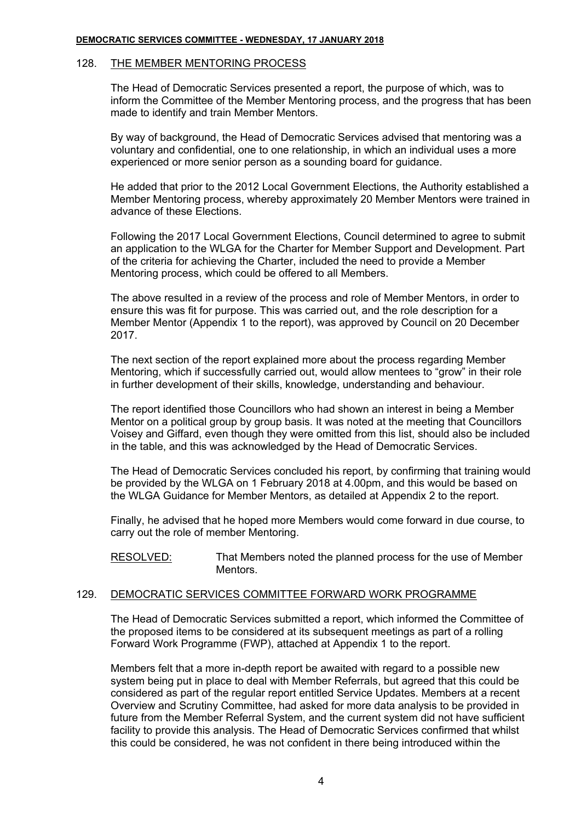### 128. THE MEMBER MENTORING PROCESS

The Head of Democratic Services presented a report, the purpose of which, was to inform the Committee of the Member Mentoring process, and the progress that has been made to identify and train Member Mentors.

By way of background, the Head of Democratic Services advised that mentoring was a voluntary and confidential, one to one relationship, in which an individual uses a more experienced or more senior person as a sounding board for guidance.

He added that prior to the 2012 Local Government Elections, the Authority established a Member Mentoring process, whereby approximately 20 Member Mentors were trained in advance of these Elections.

Following the 2017 Local Government Elections, Council determined to agree to submit an application to the WLGA for the Charter for Member Support and Development. Part of the criteria for achieving the Charter, included the need to provide a Member Mentoring process, which could be offered to all Members.

The above resulted in a review of the process and role of Member Mentors, in order to ensure this was fit for purpose. This was carried out, and the role description for a Member Mentor (Appendix 1 to the report), was approved by Council on 20 December 2017.

The next section of the report explained more about the process regarding Member Mentoring, which if successfully carried out, would allow mentees to "grow" in their role in further development of their skills, knowledge, understanding and behaviour.

The report identified those Councillors who had shown an interest in being a Member Mentor on a political group by group basis. It was noted at the meeting that Councillors Voisey and Giffard, even though they were omitted from this list, should also be included in the table, and this was acknowledged by the Head of Democratic Services.

The Head of Democratic Services concluded his report, by confirming that training would be provided by the WLGA on 1 February 2018 at 4.00pm, and this would be based on the WLGA Guidance for Member Mentors, as detailed at Appendix 2 to the report.

Finally, he advised that he hoped more Members would come forward in due course, to carry out the role of member Mentoring.

RESOLVED: That Members noted the planned process for the use of Member Mentors.

### 129. DEMOCRATIC SERVICES COMMITTEE FORWARD WORK PROGRAMME

The Head of Democratic Services submitted a report, which informed the Committee of the proposed items to be considered at its subsequent meetings as part of a rolling Forward Work Programme (FWP), attached at Appendix 1 to the report.

Members felt that a more in-depth report be awaited with regard to a possible new system being put in place to deal with Member Referrals, but agreed that this could be considered as part of the regular report entitled Service Updates. Members at a recent Overview and Scrutiny Committee, had asked for more data analysis to be provided in future from the Member Referral System, and the current system did not have sufficient facility to provide this analysis. The Head of Democratic Services confirmed that whilst this could be considered, he was not confident in there being introduced within the